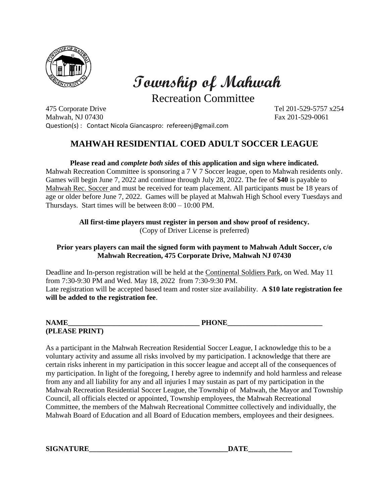

 **Township of Mahwah**

Recreation Committee

475 Corporate Drive Tel 201-529-5757 x254 Mahwah, NJ 07430 **Fax 201-529-0061** Fax 201-529-0061 Question(s) : Contact Nicola Giancaspro: refereenj@gmail.com

## **MAHWAH RESIDENTIAL COED ADULT SOCCER LEAGUE**

**Please read and** *complete both sides* **of this application and sign where indicated.**  Mahwah Recreation Committee is sponsoring a 7 V 7 Soccer league, open to Mahwah residents only.

Games will begin June 7, 2022 and continue through July 28, 2022. The fee of **\$40** is payable to Mahwah Rec. Soccer and must be received for team placement. All participants must be 18 years of age or older before June 7, 2022. Games will be played at Mahwah High School every Tuesdays and Thursdays. Start times will be between 8:00 – 10:00 PM.

> **All first-time players must register in person and show proof of residency.**  (Copy of Driver License is preferred)

## **Prior years players can mail the signed form with payment to Mahwah Adult Soccer, c/o Mahwah Recreation, 475 Corporate Drive, Mahwah NJ 07430**

Deadline and In-person registration will be held at the Continental Soldiers Park, on Wed. May 11 from 7:30-9:30 PM and Wed. May 18, 2022 from 7:30-9:30 PM. Late registration will be accepted based team and roster size availability. **A \$10 late registration fee will be added to the registration fee**.

| <b>NAME</b><br>****<br>---- | <b>PHONE</b><br>****** |
|-----------------------------|------------------------|
| (PLEASE PRINT)              |                        |

As a participant in the Mahwah Recreation Residential Soccer League, I acknowledge this to be a voluntary activity and assume all risks involved by my participation. I acknowledge that there are certain risks inherent in my participation in this soccer league and accept all of the consequences of my participation. In light of the foregoing, I hereby agree to indemnify and hold harmless and release from any and all liability for any and all injuries I may sustain as part of my participation in the Mahwah Recreation Residential Soccer League, the Township of Mahwah, the Mayor and Township Council, all officials elected or appointed, Township employees, the Mahwah Recreational Committee, the members of the Mahwah Recreational Committee collectively and individually, the Mahwah Board of Education and all Board of Education members, employees and their designees.

**SIGNATURE DATE**